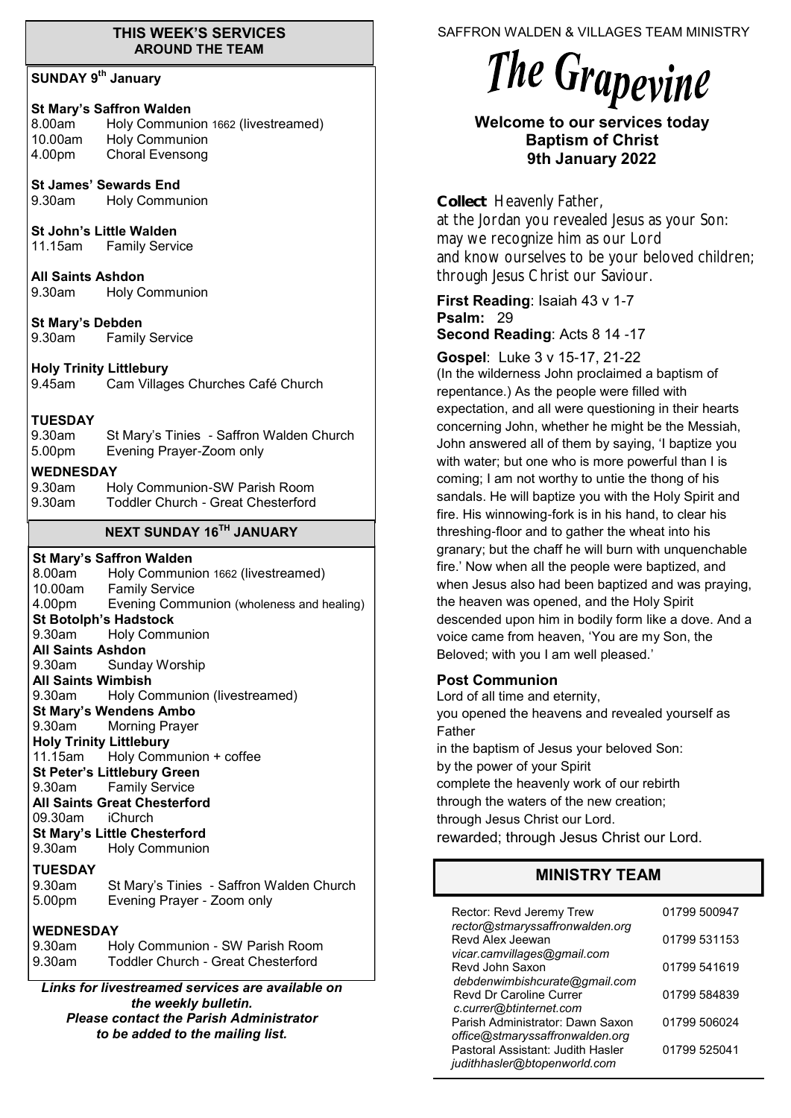#### **THIS WEEK'S SERVICES AROUND THE TEAM**

### **SUNDAY 9th January**

### **St Mary's Saffron Walden**

8.00am Holy Communion 1662 (livestreamed) 10.00am Holy Communion<br>4.00pm Choral Evensong Choral Evensong

**St James' Sewards End** 9.30am Holy Communion

**St John's Little Walden**

11.15am Family Service

**All Saints Ashdon**  9.30am Holy Communion

**St Mary's Debden** 9.30am Family Service

**Holy Trinity Littlebury** 9.45am Cam Villages Churches Café Church

#### **TUESDAY**

9.30am St Mary's Tinies - Saffron Walden Church 5.00pm Evening Prayer-Zoom only

#### **WEDNESDAY**

| 9.30am | Holy Communion-SW Parish Room      |
|--------|------------------------------------|
| 9.30am | Toddler Church - Great Chesterford |

# **NEXT SUNDAY 16TH JANUARY**

**St Mary's Saffron Walden**  8.00am Holy Communion 1662 (livestreamed) 10.00am Family Service 4.00pm Evening Communion (wholeness and healing) **St Botolph's Hadstock**  9.30am Holy Communion **All Saints Ashdon**  Sunday Worship **All Saints Wimbish** 9.30am Holy Communion (livestreamed) **St Mary's Wendens Ambo** 9.30am Morning Prayer **Holy Trinity Littlebury** 11.15am Holy Communion + coffee **St Peter's Littlebury Green** 9.30am Family Service **All Saints Great Chesterford** 09.30am iChurch **St Mary's Little Chesterford** 9.30am Holy Communion **TUESDAY** 9.30am St Mary's Tinies - Saffron Walden Church 5.00pm Evening Prayer - Zoom only **WEDNESDAY** 9.30am Holy Communion - SW Parish Room 9.30am Toddler Church - Great Chesterford

*Links for livestreamed services are available on the weekly bulletin. Please contact the Parish Administrator to be added to the mailing list.*

SAFFRON WALDEN & VILLAGES TEAM MINISTRY

# The Grapevine

# **Welcome to our services today Baptism of Christ 9th January 2022**

**Collect**Heavenly Father, at the Jordan you revealed Jesus as your Son: may we recognize him as our Lord and know ourselves to be your beloved children; through Jesus Christ our Saviour.

#### **First Reading**: Isaiah 43 v 1-7 **Psalm:** 29 **Second Reading**: Acts 8 14 -17

**Gospel**: Luke 3 v 15-17, 21-22 (In the wilderness John proclaimed a baptism of repentance.) As the people were filled with expectation, and all were questioning in their hearts concerning John, whether he might be the Messiah, John answered all of them by saying, 'I baptize you with water; but one who is more powerful than I is coming; I am not worthy to untie the thong of his sandals. He will baptize you with the Holy Spirit and fire. His winnowing-fork is in his hand, to clear his threshing-floor and to gather the wheat into his granary; but the chaff he will burn with unquenchable fire.' Now when all the people were baptized, and when Jesus also had been baptized and was praying, the heaven was opened, and the Holy Spirit descended upon him in bodily form like a dove. And a voice came from heaven, 'You are my Son, the Beloved; with you I am well pleased.'

## **Post Communion**

Lord of all time and eternity, you opened the heavens and revealed yourself as Father in the baptism of Jesus your beloved Son: by the power of your Spirit complete the heavenly work of our rebirth through the waters of the new creation; through Jesus Christ our Lord. rewarded; through Jesus Christ our Lord.

# **MINISTRY TEAM**

| Rector: Revd Jeremy Trew<br>rector@stmaryssaffronwalden.org         | 01799 500947 |
|---------------------------------------------------------------------|--------------|
| Revd Alex Jeewan<br>vicar.camvillages@gmail.com                     | 01799 531153 |
| Revd John Saxon<br>debdenwimbishcurate@gmail.com                    | 01799 541619 |
| <b>Revd Dr Caroline Currer</b><br>c.currer@btinternet.com           | 01799 584839 |
| Parish Administrator: Dawn Saxon<br>office@stmaryssaffronwalden.org | 01799 506024 |
| Pastoral Assistant: Judith Hasler<br>judithhasler@btopenworld.com   | 01799 525041 |